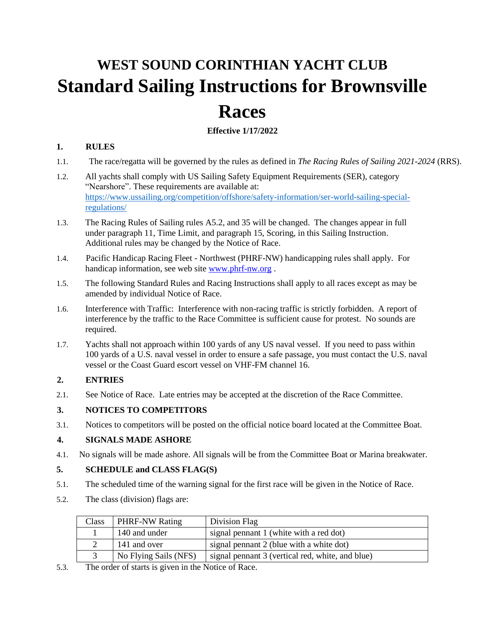# **WEST SOUND CORINTHIAN YACHT CLUB Standard Sailing Instructions for Brownsville Races**

## **Effective 1/17/2022**

## **1. RULES**

- 1.1. The race/regatta will be governed by the rules as defined in *The Racing Rules of Sailing 2021-2024* (RRS).
- 1.2. All yachts shall comply with US Sailing Safety Equipment Requirements (SER), category "Nearshore". These requirements are available at: [https://www.ussailing.org/competition/offshore/safety-information/ser-world-sailing-special](https://www.ussailing.org/competition/offshore/safety-information/ser-world-sailing-special-regulations/)[regulations/](https://www.ussailing.org/competition/offshore/safety-information/ser-world-sailing-special-regulations/)
- 1.3. The Racing Rules of Sailing rules A5.2, and 35 will be changed. The changes appear in full under paragraph 11, Time Limit, and paragraph 15, Scoring, in this Sailing Instruction. Additional rules may be changed by the Notice of Race.
- 1.4. Pacific Handicap Racing Fleet Northwest (PHRF-NW) handicapping rules shall apply. For handicap information, see web site [www.phrf-nw.org](http://www.phrf-nw.org/) [.](http://www.phrf-nw.org/)
- 1.5. The following Standard Rules and Racing Instructions shall apply to all races except as may be amended by individual Notice of Race.
- 1.6. Interference with Traffic: Interference with non-racing traffic is strictly forbidden. A report of interference by the traffic to the Race Committee is sufficient cause for protest. No sounds are required.
- 1.7. Yachts shall not approach within 100 yards of any US naval vessel. If you need to pass within 100 yards of a U.S. naval vessel in order to ensure a safe passage, you must contact the U.S. naval vessel or the Coast Guard escort vessel on VHF-FM channel 16.

## **2. ENTRIES**

2.1. See Notice of Race. Late entries may be accepted at the discretion of the Race Committee.

## **3. NOTICES TO COMPETITORS**

3.1. Notices to competitors will be posted on the official notice board located at the Committee Boat.

## **4. SIGNALS MADE ASHORE**

4.1. No signals will be made ashore. All signals will be from the Committee Boat or Marina breakwater.

## **5. SCHEDULE and CLASS FLAG(S)**

- 5.1. The scheduled time of the warning signal for the first race will be given in the Notice of Race.
- 5.2. The class (division) flags are:

| Class | <b>PHRF-NW Rating</b> | Division Flag                                    |
|-------|-----------------------|--------------------------------------------------|
|       | 140 and under         | signal pennant 1 (white with a red dot)          |
|       | 141 and over          | signal pennant 2 (blue with a white dot)         |
|       | No Flying Sails (NFS) | signal pennant 3 (vertical red, white, and blue) |

5.3. The order of starts is given in the Notice of Race.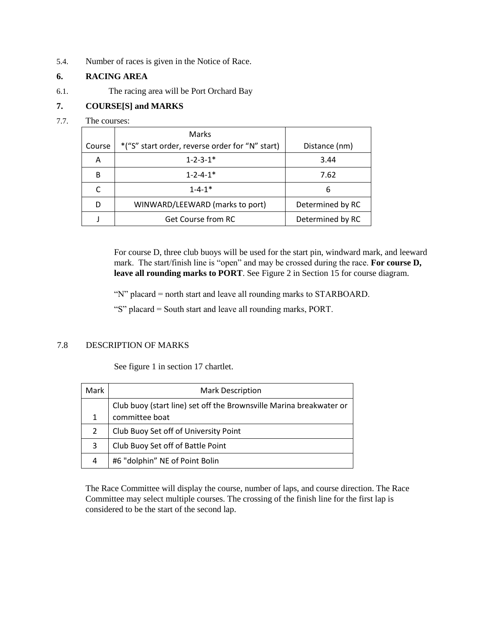5.4. Number of races is given in the Notice of Race.

## **6. RACING AREA**

6.1. The racing area will be Port Orchard Bay

## **7. COURSE[S] and MARKS**

#### 7.7. The courses:

|        | Marks                                           |                  |  |
|--------|-------------------------------------------------|------------------|--|
| Course | *("S" start order, reverse order for "N" start) | Distance (nm)    |  |
| Α      | $1 - 2 - 3 - 1*$                                | 3.44             |  |
| R      | $1 - 2 - 4 - 1*$                                | 7.62             |  |
|        | $1 - 4 - 1$ <sup>*</sup>                        | 6                |  |
|        | WINWARD/LEEWARD (marks to port)                 | Determined by RC |  |
|        | <b>Get Course from RC</b>                       | Determined by RC |  |

For course D, three club buoys will be used for the start pin, windward mark, and leeward mark. The start/finish line is "open" and may be crossed during the race. **For course D, leave all rounding marks to PORT**. See Figure 2 in Section 15 for course diagram.

"N" placard = north start and leave all rounding marks to STARBOARD.

"S" placard = South start and leave all rounding marks, PORT.

#### 7.8 DESCRIPTION OF MARKS

See figure 1 in section 17 chartlet.

| Mark | <b>Mark Description</b>                                             |  |  |
|------|---------------------------------------------------------------------|--|--|
|      | Club buoy (start line) set off the Brownsville Marina breakwater or |  |  |
| 1    | committee boat                                                      |  |  |
| 2    | Club Buoy Set off of University Point                               |  |  |
| 3    | Club Buoy Set off of Battle Point                                   |  |  |
| 4    | #6 "dolphin" NE of Point Bolin                                      |  |  |

The Race Committee will display the course, number of laps, and course direction. The Race Committee may select multiple courses. The crossing of the finish line for the first lap is considered to be the start of the second lap.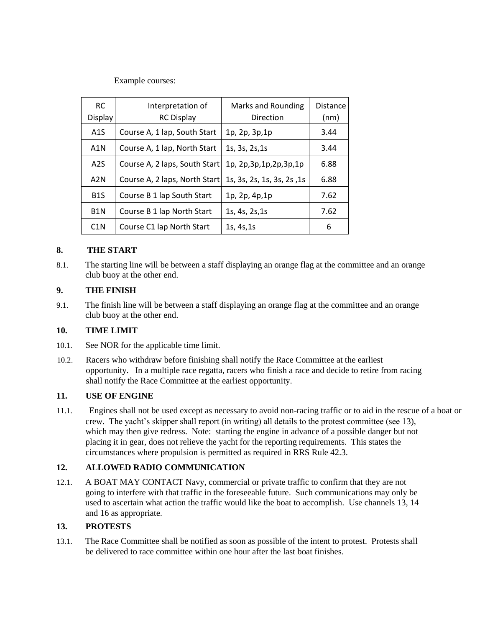Example courses:

| <b>RC</b><br>Display | Interpretation of<br><b>RC Display</b> | <b>Marks and Rounding</b><br>Direction | <b>Distance</b><br>(nm) |
|----------------------|----------------------------------------|----------------------------------------|-------------------------|
| A1S                  | Course A, 1 lap, South Start           | 1p, 2p, 3p, 1p                         | 3.44                    |
| A <sub>1</sub> N     | Course A, 1 lap, North Start           | 1s, 3s, 2s, 1s                         | 3.44                    |
| A2S                  | Course A, 2 laps, South Start          | 1p, 2p, 3p, 1p, 2p, 3p, 1p             | 6.88                    |
| A2N                  | Course A, 2 laps, North Start          | 1s, 3s, 2s, 1s, 3s, 2s, 1s             | 6.88                    |
| B <sub>1</sub> S     | Course B 1 lap South Start             | 1p, 2p, 4p, 1p                         | 7.62                    |
| B <sub>1</sub> N     | Course B 1 lap North Start             | 1s, 4s, 2s, 1s                         | 7.62                    |
| C <sub>1</sub> N     | Course C1 lap North Start              | 1s, 4s, 1s                             | 6                       |

#### **8. THE START**

8.1. The starting line will be between a staff displaying an orange flag at the committee and an orange club buoy at the other end.

## **9. THE FINISH**

9.1. The finish line will be between a staff displaying an orange flag at the committee and an orange club buoy at the other end.

#### **10. TIME LIMIT**

- 10.1. See NOR for the applicable time limit.
- 10.2. Racers who withdraw before finishing shall notify the Race Committee at the earliest opportunity. In a multiple race regatta, racers who finish a race and decide to retire from racing shall notify the Race Committee at the earliest opportunity.

#### **11. USE OF ENGINE**

11.1. Engines shall not be used except as necessary to avoid non-racing traffic or to aid in the rescue of a boat or crew. The yacht's skipper shall report (in writing) all details to the protest committee (see 13), which may then give redress. Note: starting the engine in advance of a possible danger but not placing it in gear, does not relieve the yacht for the reporting requirements. This states the circumstances where propulsion is permitted as required in RRS Rule 42.3.

## **12. ALLOWED RADIO COMMUNICATION**

12.1. A BOAT MAY CONTACT Navy, commercial or private traffic to confirm that they are not going to interfere with that traffic in the foreseeable future. Such communications may only be used to ascertain what action the traffic would like the boat to accomplish. Use channels 13, 14 and 16 as appropriate.

#### **13. PROTESTS**

13.1. The Race Committee shall be notified as soon as possible of the intent to protest. Protests shall be delivered to race committee within one hour after the last boat finishes.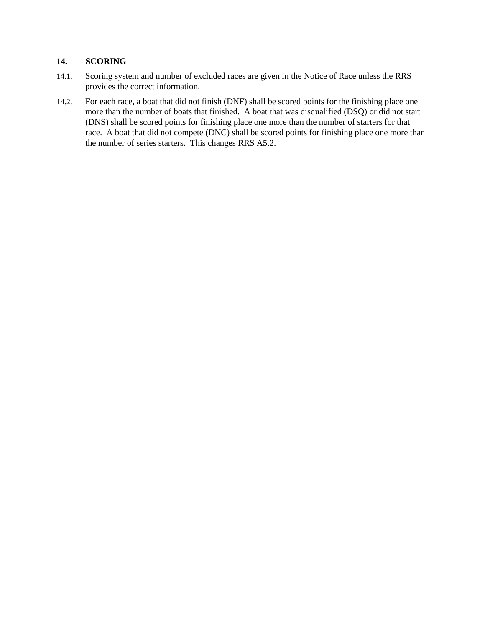## **14. SCORING**

- 14.1. Scoring system and number of excluded races are given in the Notice of Race unless the RRS provides the correct information.
- 14.2. For each race, a boat that did not finish (DNF) shall be scored points for the finishing place one more than the number of boats that finished. A boat that was disqualified (DSQ) or did not start (DNS) shall be scored points for finishing place one more than the number of starters for that race. A boat that did not compete (DNC) shall be scored points for finishing place one more than the number of series starters. This changes RRS A5.2.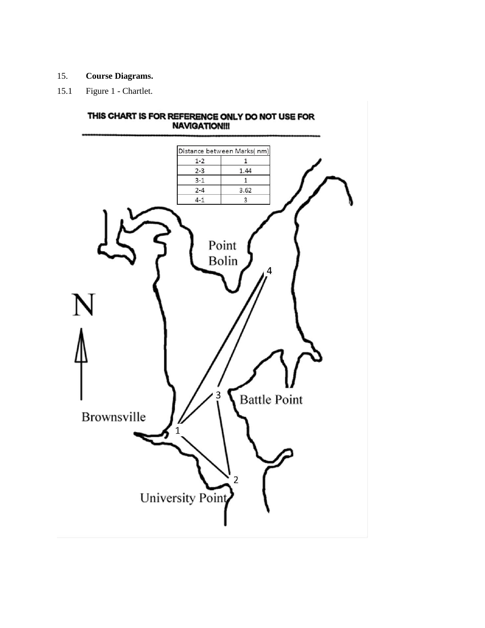- 15. **Course Diagrams.**
- 15.1 Figure 1 Chartlet.